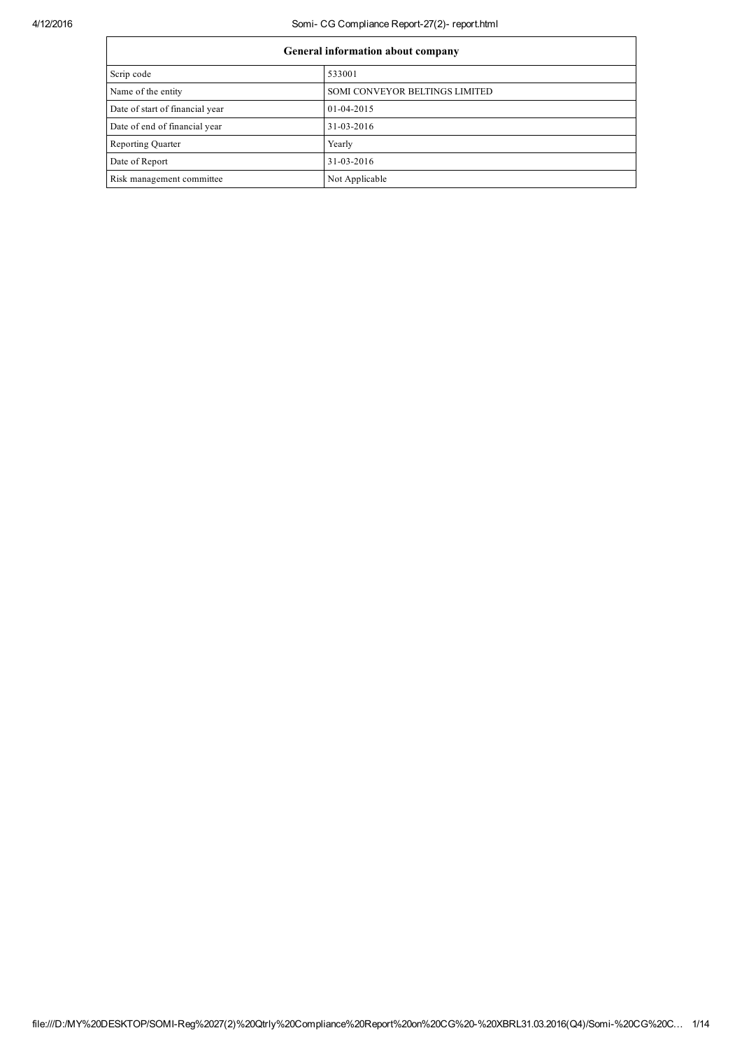## 4/12/2016 Somi- CG Compliance Report-27(2)- report.html

| <b>General information about company</b> |                                |  |  |
|------------------------------------------|--------------------------------|--|--|
| Scrip code                               | 533001                         |  |  |
| Name of the entity                       | SOMI CONVEYOR BELTINGS LIMITED |  |  |
| Date of start of financial year          | 01-04-2015                     |  |  |
| Date of end of financial year            | 31-03-2016                     |  |  |
| Reporting Quarter                        | Yearly                         |  |  |
| Date of Report                           | 31-03-2016                     |  |  |
| Risk management committee                | Not Applicable                 |  |  |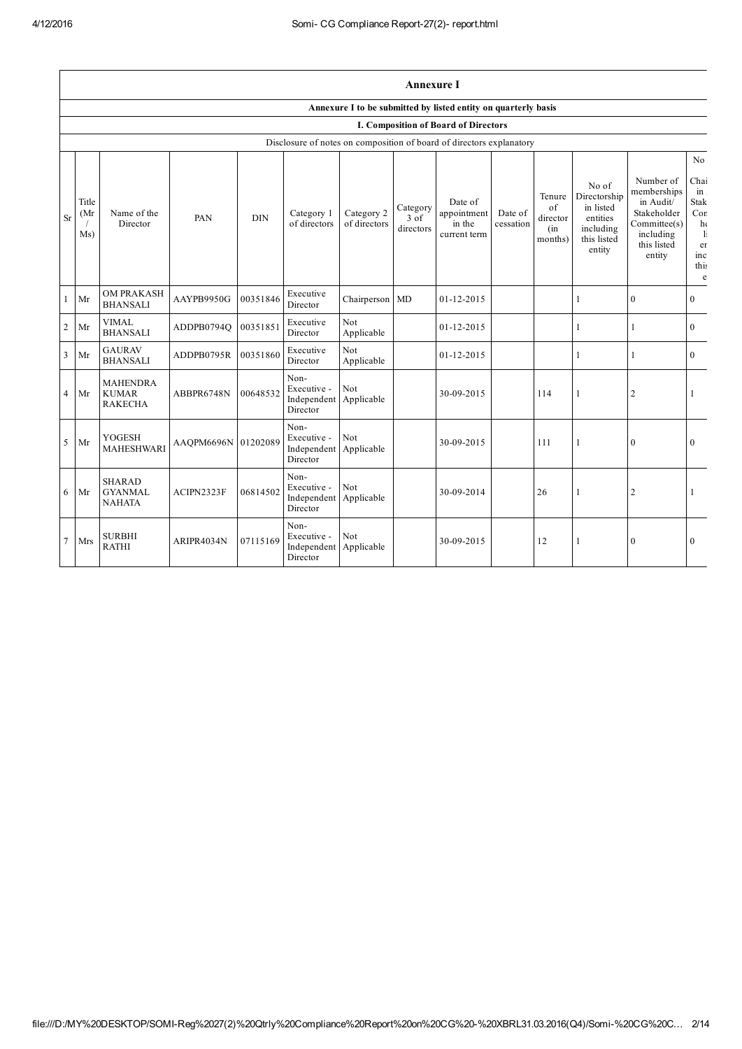$\mathbf{r}$ 

|                | <b>Annexure I</b>                                              |                                                   |                     |            |                                                                      |                            |                               |                                                  |                      |                                                    |                                                                                      |                                                                                                            |                                                                                                        |
|----------------|----------------------------------------------------------------|---------------------------------------------------|---------------------|------------|----------------------------------------------------------------------|----------------------------|-------------------------------|--------------------------------------------------|----------------------|----------------------------------------------------|--------------------------------------------------------------------------------------|------------------------------------------------------------------------------------------------------------|--------------------------------------------------------------------------------------------------------|
|                | Annexure I to be submitted by listed entity on quarterly basis |                                                   |                     |            |                                                                      |                            |                               |                                                  |                      |                                                    |                                                                                      |                                                                                                            |                                                                                                        |
|                |                                                                |                                                   |                     |            |                                                                      |                            |                               | <b>I. Composition of Board of Directors</b>      |                      |                                                    |                                                                                      |                                                                                                            |                                                                                                        |
|                |                                                                |                                                   |                     |            | Disclosure of notes on composition of board of directors explanatory |                            |                               |                                                  |                      |                                                    |                                                                                      |                                                                                                            |                                                                                                        |
| <b>Sr</b>      | Title<br>(Mr<br>Ms)                                            | Name of the<br>Director                           | PAN                 | <b>DIN</b> | Category 1<br>of directors                                           | Category 2<br>of directors | Category<br>3 of<br>directors | Date of<br>appointment<br>in the<br>current term | Date of<br>cessation | Tenure<br>$\sigma$ f<br>director<br>(in<br>months) | No of<br>Directorship<br>in listed<br>entities<br>including<br>this listed<br>entity | Number of<br>memberships<br>in Audit/<br>Stakeholder<br>Committee(s)<br>including<br>this listed<br>entity | N <sub>o</sub><br>Chai<br>$in$ .<br><b>Stak</b><br>Con<br>$h\epsilon$<br>-li<br>er<br>inc<br>this<br>e |
| $\mathbf{1}$   | Mr                                                             | <b>OM PRAKASH</b><br><b>BHANSALI</b>              | AAYPB9950G          | 00351846   | Executive<br>Director                                                | Chairperson MD             |                               | $01 - 12 - 2015$                                 |                      |                                                    |                                                                                      | $\mathbf{0}$                                                                                               | $\theta$                                                                                               |
| $\sqrt{2}$     | Mr                                                             | <b>VIMAL</b><br><b>BHANSALI</b>                   | ADDPB0794Q          | 00351851   | Executive<br>Director                                                | Not<br>Applicable          |                               | $01 - 12 - 2015$                                 |                      |                                                    | $\mathbf{1}$                                                                         | 1                                                                                                          | $\mathbf{0}$                                                                                           |
| 3              | Mr                                                             | <b>GAURAV</b><br><b>BHANSALI</b>                  | ADDPB0795R          | 00351860   | Executive<br>Director                                                | Not<br>Applicable          |                               | $01 - 12 - 2015$                                 |                      |                                                    | 1                                                                                    | 1                                                                                                          | $\theta$                                                                                               |
| $\overline{4}$ | Mr                                                             | <b>MAHENDRA</b><br><b>KUMAR</b><br><b>RAKECHA</b> | ABBPR6748N          | 00648532   | Non-<br>Executive -<br>Independent<br>Director                       | Not<br>Applicable          |                               | 30-09-2015                                       |                      | 114                                                |                                                                                      | $\overline{2}$                                                                                             |                                                                                                        |
| 5              | Mr                                                             | <b>YOGESH</b><br><b>MAHESHWARI</b>                | AAQPM6696N 01202089 |            | Non-<br>Executive -<br>Independent Applicable<br>Director            | Not                        |                               | 30-09-2015                                       |                      | 111                                                |                                                                                      | $\boldsymbol{0}$                                                                                           | $\mathbf{0}$                                                                                           |
| 6              | Mr                                                             | <b>SHARAD</b><br><b>GYANMAL</b><br><b>NAHATA</b>  | ACIPN2323F          | 06814502   | Non-<br>Executive -<br>Independent<br>Director                       | Not<br>Applicable          |                               | 30-09-2014                                       |                      | 26                                                 |                                                                                      | $\overline{c}$                                                                                             |                                                                                                        |
| $\tau$         | <b>Mrs</b>                                                     | <b>SURBHI</b><br><b>RATHI</b>                     | ARIPR4034N          | 07115169   | Non-<br>Executive -<br>Independent<br>Director                       | Not<br>Applicable          |                               | 30-09-2015                                       |                      | 12                                                 |                                                                                      | $\mathbf{0}$                                                                                               | $\theta$                                                                                               |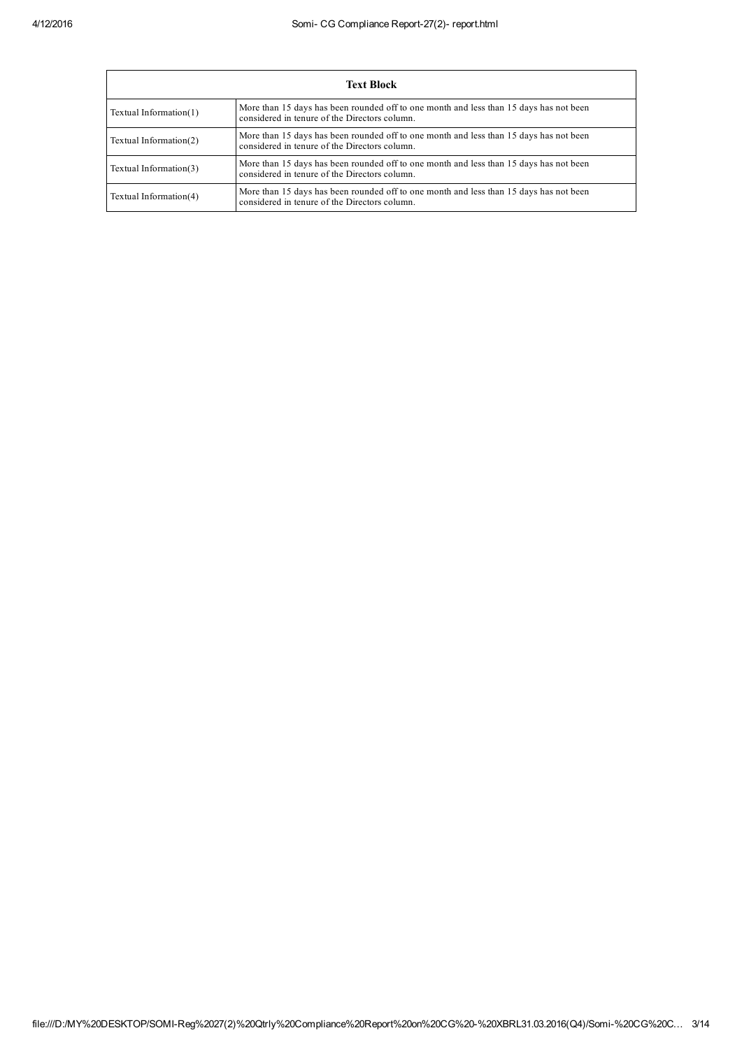| <b>Text Block</b>      |                                                                                                                                         |  |  |  |
|------------------------|-----------------------------------------------------------------------------------------------------------------------------------------|--|--|--|
| Textual Information(1) | More than 15 days has been rounded off to one month and less than 15 days has not been<br>considered in tenure of the Directors column. |  |  |  |
| Textual Information(2) | More than 15 days has been rounded off to one month and less than 15 days has not been<br>considered in tenure of the Directors column. |  |  |  |
| Textual Information(3) | More than 15 days has been rounded off to one month and less than 15 days has not been<br>considered in tenure of the Directors column. |  |  |  |
| Textual Information(4) | More than 15 days has been rounded off to one month and less than 15 days has not been<br>considered in tenure of the Directors column. |  |  |  |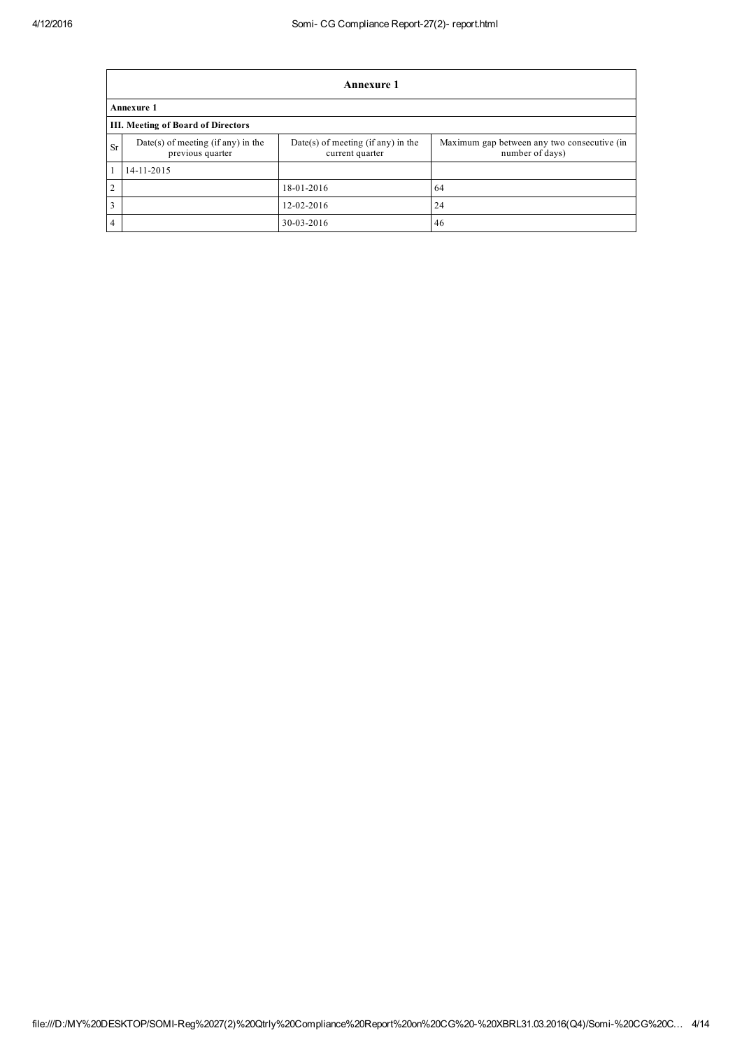|                | <b>Annexure 1</b>                                        |                                                       |                                                                |  |  |  |
|----------------|----------------------------------------------------------|-------------------------------------------------------|----------------------------------------------------------------|--|--|--|
|                | <b>Annexure 1</b>                                        |                                                       |                                                                |  |  |  |
|                | <b>III. Meeting of Board of Directors</b>                |                                                       |                                                                |  |  |  |
| <b>Sr</b>      | $Date(s)$ of meeting (if any) in the<br>previous quarter | Date(s) of meeting (if any) in the<br>current quarter | Maximum gap between any two consecutive (in<br>number of days) |  |  |  |
| $\mathbf{1}$   | 14-11-2015                                               |                                                       |                                                                |  |  |  |
| $\overline{2}$ |                                                          | 18-01-2016                                            | 64                                                             |  |  |  |
| 3              |                                                          | 12-02-2016                                            | 24                                                             |  |  |  |
| $\overline{4}$ |                                                          | 30-03-2016                                            | 46                                                             |  |  |  |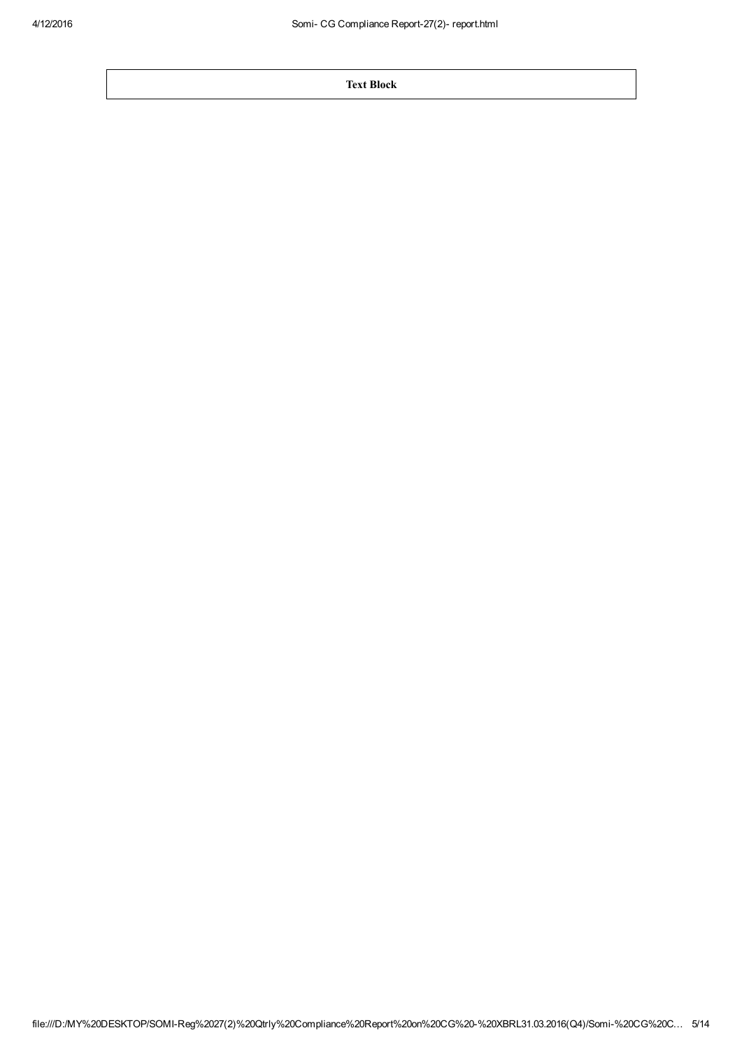Text Block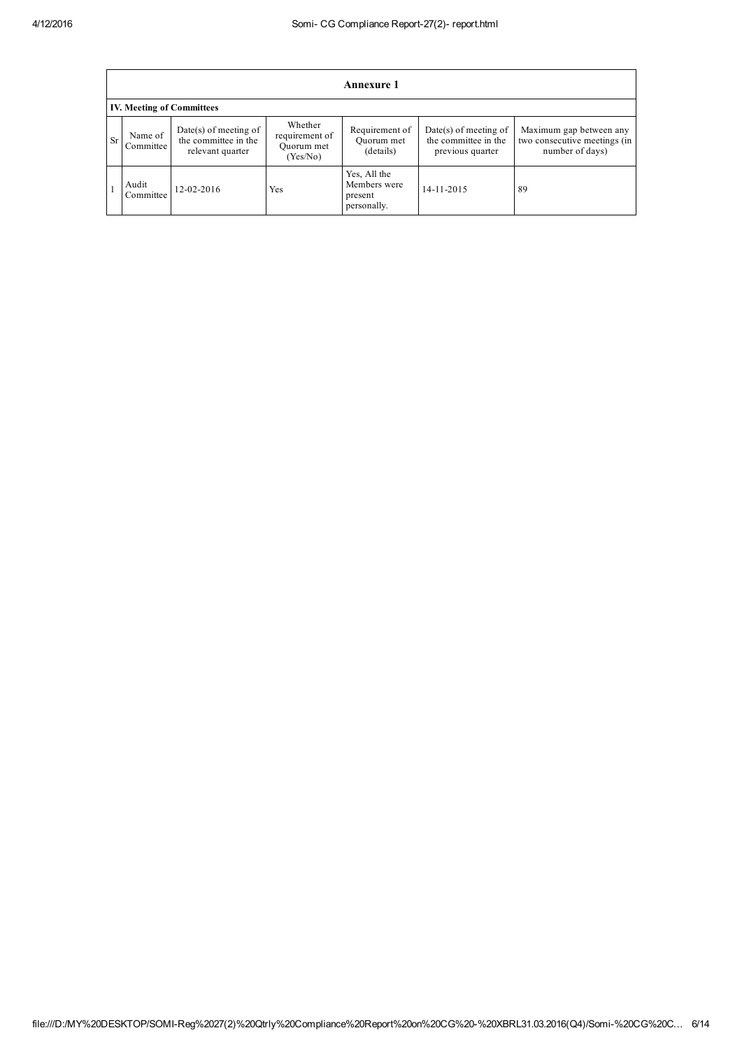| <b>Annexure 1</b>                |                      |                                                                     |                                                     |                                                        |                                                                     |                                                                            |
|----------------------------------|----------------------|---------------------------------------------------------------------|-----------------------------------------------------|--------------------------------------------------------|---------------------------------------------------------------------|----------------------------------------------------------------------------|
| <b>IV. Meeting of Committees</b> |                      |                                                                     |                                                     |                                                        |                                                                     |                                                                            |
| <b>Sr</b>                        | Name of<br>Committee | $Date(s)$ of meeting of<br>the committee in the<br>relevant quarter | Whether<br>requirement of<br>Quorum met<br>(Yes/No) | Requirement of<br>Ouorum met<br>(details)              | $Date(s)$ of meeting of<br>the committee in the<br>previous quarter | Maximum gap between any<br>two consecutive meetings (in<br>number of days) |
|                                  | Audit<br>Committee   | 12-02-2016                                                          | Yes                                                 | Yes, All the<br>Members were<br>present<br>personally. | 14-11-2015                                                          | 89                                                                         |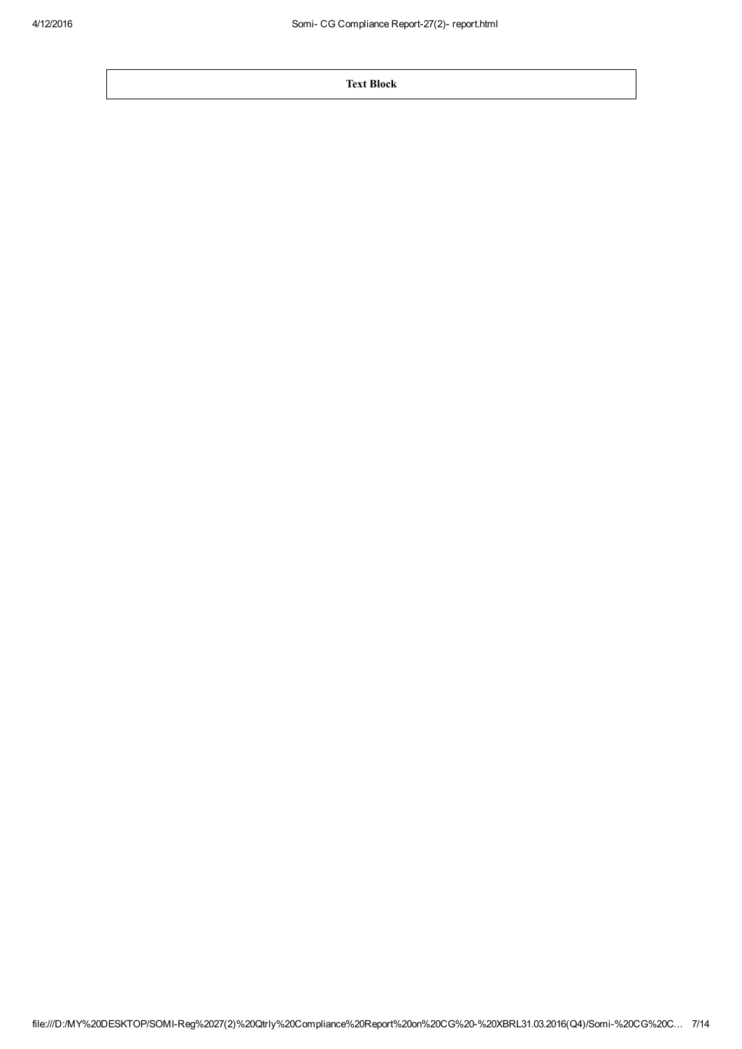Text Block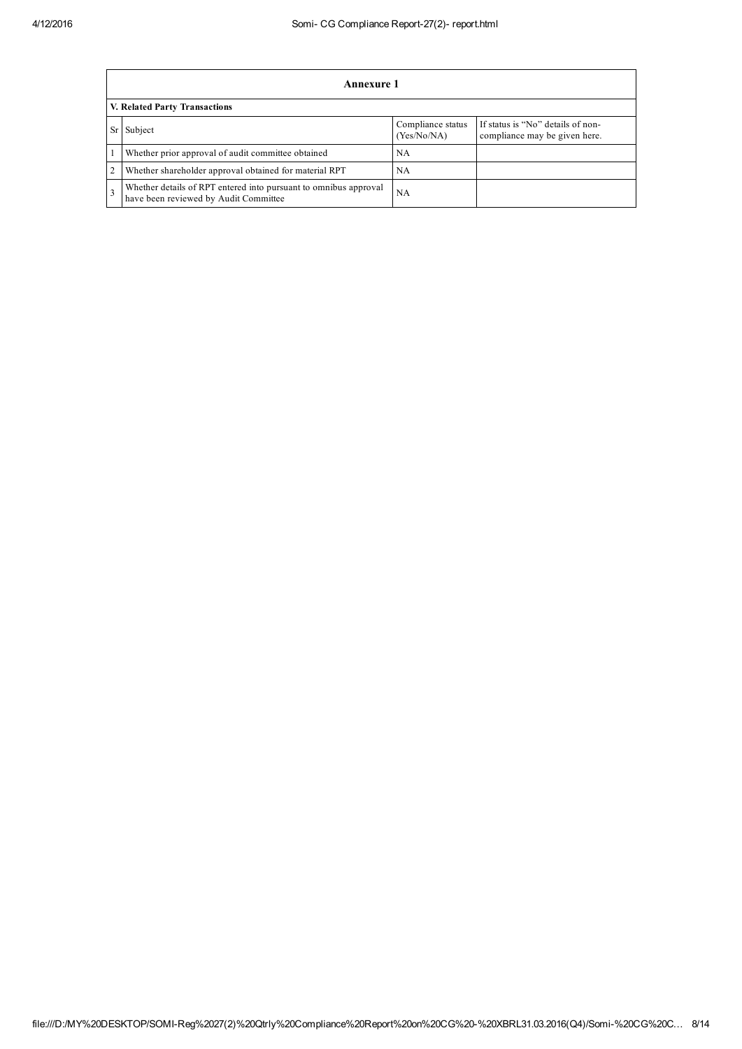|    | Annexure 1                                                                                                |                                  |                                                                    |  |  |  |
|----|-----------------------------------------------------------------------------------------------------------|----------------------------------|--------------------------------------------------------------------|--|--|--|
|    | V. Related Party Transactions                                                                             |                                  |                                                                    |  |  |  |
| Sr | Subject                                                                                                   | Compliance status<br>(Yes/No/NA) | If status is "No" details of non-<br>compliance may be given here. |  |  |  |
|    | Whether prior approval of audit committee obtained                                                        | NA                               |                                                                    |  |  |  |
|    | Whether shareholder approval obtained for material RPT                                                    | NA                               |                                                                    |  |  |  |
|    | Whether details of RPT entered into pursuant to omnibus approval<br>have been reviewed by Audit Committee | NA                               |                                                                    |  |  |  |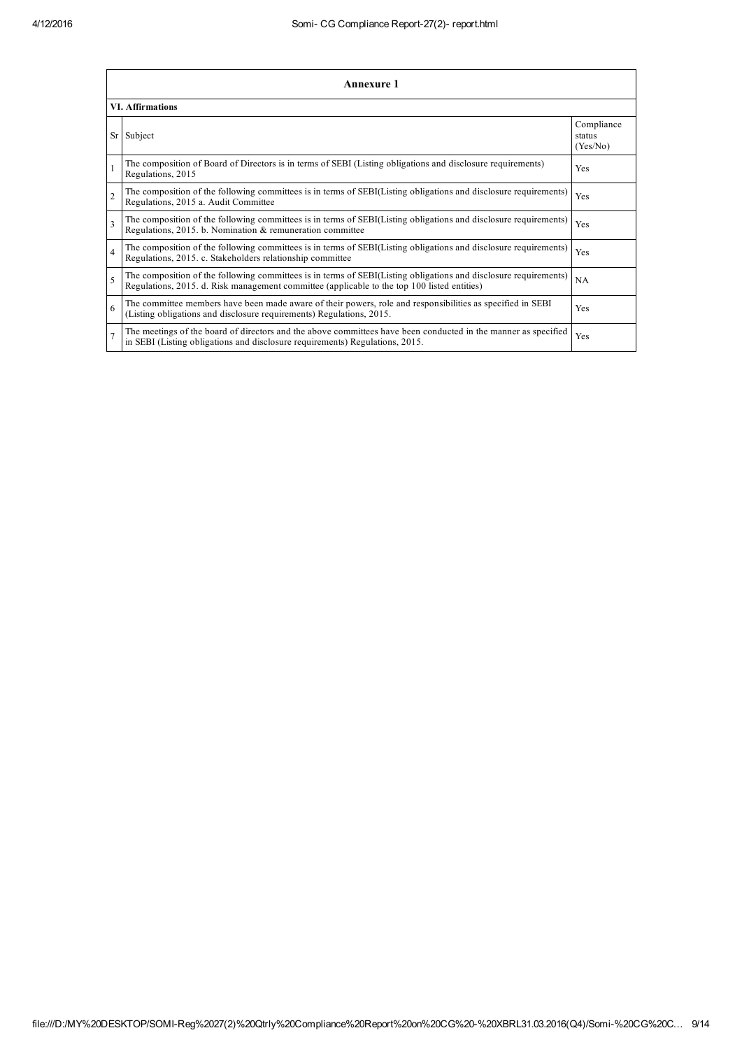|                          | <b>Annexure 1</b>                                                                                                                                                                                               |                                  |  |  |  |
|--------------------------|-----------------------------------------------------------------------------------------------------------------------------------------------------------------------------------------------------------------|----------------------------------|--|--|--|
|                          | <b>VI. Affirmations</b>                                                                                                                                                                                         |                                  |  |  |  |
| Sr                       | Subject                                                                                                                                                                                                         | Compliance<br>status<br>(Yes/No) |  |  |  |
|                          | The composition of Board of Directors is in terms of SEBI (Listing obligations and disclosure requirements)<br>Regulations, 2015                                                                                | Yes                              |  |  |  |
| $\overline{2}$           | The composition of the following committees is in terms of SEBI(Listing obligations and disclosure requirements)<br>Regulations, 2015 a. Audit Committee                                                        | Yes                              |  |  |  |
| $\overline{3}$           | The composition of the following committees is in terms of SEBI(Listing obligations and disclosure requirements)<br>Regulations, 2015. b. Nomination & remuneration committee                                   | Yes                              |  |  |  |
| $\overline{4}$           | The composition of the following committees is in terms of SEBI(Listing obligations and disclosure requirements)<br>Regulations, 2015. c. Stakeholders relationship committee                                   | Yes                              |  |  |  |
| $\overline{\phantom{0}}$ | The composition of the following committees is in terms of SEBI(Listing obligations and disclosure requirements)<br>Regulations, 2015. d. Risk management committee (applicable to the top 100 listed entities) | NA                               |  |  |  |
| 6                        | The committee members have been made aware of their powers, role and responsibilities as specified in SEBI<br>(Listing obligations and disclosure requirements) Regulations, 2015.                              | Yes                              |  |  |  |
| $\overline{7}$           | The meetings of the board of directors and the above committees have been conducted in the manner as specified<br>in SEBI (Listing obligations and disclosure requirements) Regulations, 2015.                  | Yes                              |  |  |  |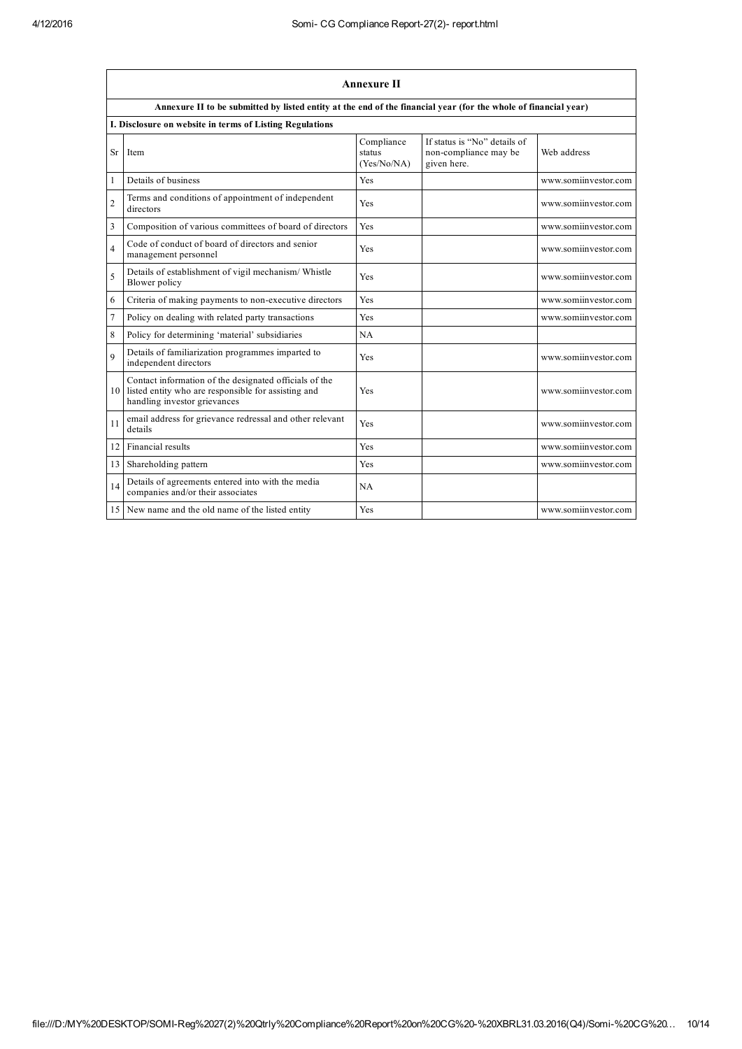|                         | <b>Annexure II</b>                                                                                                                               |                                     |                                                                      |                      |  |  |
|-------------------------|--------------------------------------------------------------------------------------------------------------------------------------------------|-------------------------------------|----------------------------------------------------------------------|----------------------|--|--|
|                         | Annexure II to be submitted by listed entity at the end of the financial year (for the whole of financial year)                                  |                                     |                                                                      |                      |  |  |
|                         | I. Disclosure on website in terms of Listing Regulations                                                                                         |                                     |                                                                      |                      |  |  |
| <b>Sr</b>               | Item                                                                                                                                             | Compliance<br>status<br>(Yes/No/NA) | If status is "No" details of<br>non-compliance may be<br>given here. | Web address          |  |  |
| 1                       | Details of business                                                                                                                              | <b>Yes</b>                          |                                                                      | www.somiinvestor.com |  |  |
| $\overline{2}$          | Terms and conditions of appointment of independent<br>directors                                                                                  | <b>Yes</b>                          |                                                                      | www.somiinvestor.com |  |  |
| $\overline{\mathbf{3}}$ | Composition of various committees of board of directors                                                                                          | Yes                                 |                                                                      | www.somiinvestor.com |  |  |
| 4                       | Code of conduct of board of directors and senior<br>management personnel                                                                         | <b>Yes</b>                          |                                                                      | www.somiinvestor.com |  |  |
| 5                       | Details of establishment of vigil mechanism/ Whistle<br>Blower policy                                                                            | Yes                                 |                                                                      | www.somiinvestor.com |  |  |
| 6                       | Criteria of making payments to non-executive directors                                                                                           | Yes                                 |                                                                      | www.somiinvestor.com |  |  |
| $\overline{7}$          | Policy on dealing with related party transactions                                                                                                | <b>Yes</b>                          |                                                                      | www.somiinvestor.com |  |  |
| 8                       | Policy for determining 'material' subsidiaries                                                                                                   | NA                                  |                                                                      |                      |  |  |
| $\overline{9}$          | Details of familiarization programmes imparted to<br>independent directors                                                                       | <b>Yes</b>                          |                                                                      | www.somiinvestor.com |  |  |
|                         | Contact information of the designated officials of the<br>10 listed entity who are responsible for assisting and<br>handling investor grievances | <b>Yes</b>                          |                                                                      | www.somiinvestor.com |  |  |
| 11                      | email address for grievance redressal and other relevant<br>details                                                                              | <b>Yes</b>                          |                                                                      | www.somiinvestor.com |  |  |
| 12                      | Financial results                                                                                                                                | Yes                                 |                                                                      | www.somiinvestor.com |  |  |
| 13                      | Shareholding pattern                                                                                                                             | Yes                                 |                                                                      | www.somiinvestor.com |  |  |
| 14                      | Details of agreements entered into with the media<br>companies and/or their associates                                                           | NA                                  |                                                                      |                      |  |  |
| 15                      | New name and the old name of the listed entity                                                                                                   | <b>Yes</b>                          |                                                                      | www.somiinvestor.com |  |  |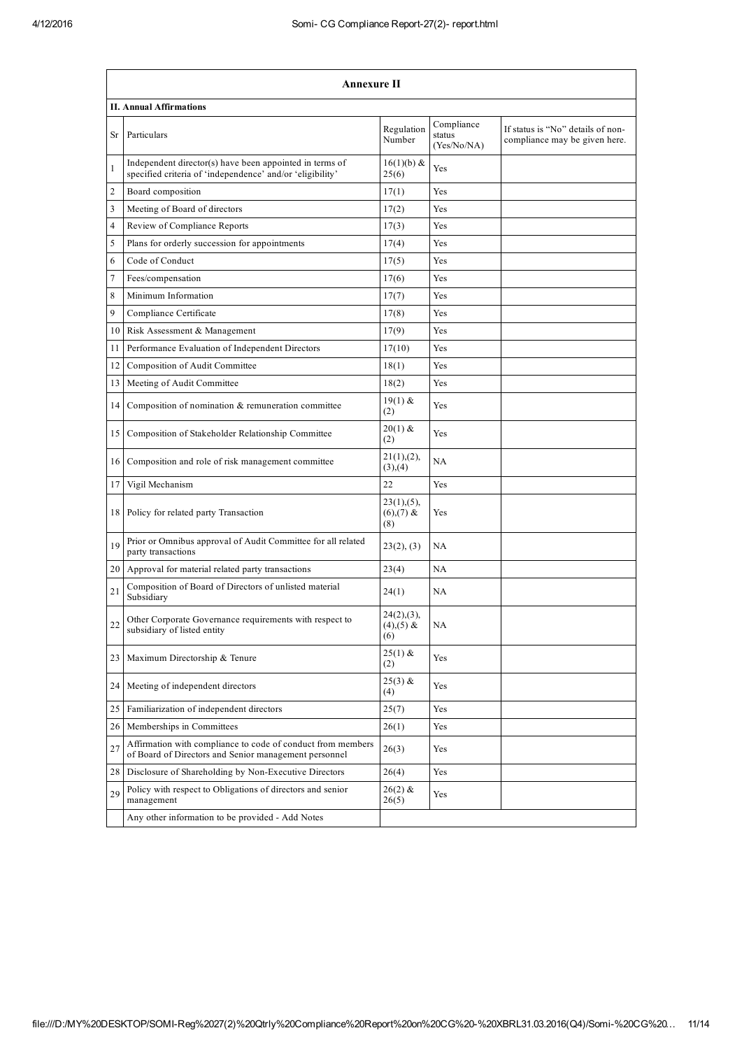|                 | <b>Annexure II</b>                                                                                                   |                                          |                                     |                                                                    |  |
|-----------------|----------------------------------------------------------------------------------------------------------------------|------------------------------------------|-------------------------------------|--------------------------------------------------------------------|--|
|                 | <b>II. Annual Affirmations</b>                                                                                       |                                          |                                     |                                                                    |  |
| Sr              | Particulars                                                                                                          | Regulation<br>Number                     | Compliance<br>status<br>(Yes/No/NA) | If status is "No" details of non-<br>compliance may be given here. |  |
| 1               | Independent director(s) have been appointed in terms of<br>specified criteria of 'independence' and/or 'eligibility' | $16(1)(b)$ &<br>25(6)                    | Yes                                 |                                                                    |  |
| 2               | Board composition                                                                                                    | 17(1)                                    | Yes                                 |                                                                    |  |
| 3               | Meeting of Board of directors                                                                                        | 17(2)                                    | Yes                                 |                                                                    |  |
| 4               | Review of Compliance Reports                                                                                         | 17(3)                                    | Yes                                 |                                                                    |  |
| 5               | Plans for orderly succession for appointments                                                                        | 17(4)                                    | Yes                                 |                                                                    |  |
| 6               | Code of Conduct                                                                                                      | 17(5)                                    | Yes                                 |                                                                    |  |
| 7               | Fees/compensation                                                                                                    | 17(6)                                    | Yes                                 |                                                                    |  |
| 8               | Minimum Information                                                                                                  | 17(7)                                    | Yes                                 |                                                                    |  |
| 9               | Compliance Certificate                                                                                               | 17(8)                                    | Yes                                 |                                                                    |  |
| 10 <sup>1</sup> | Risk Assessment & Management                                                                                         | 17(9)                                    | Yes                                 |                                                                    |  |
| 11              | Performance Evaluation of Independent Directors                                                                      | 17(10)                                   | Yes                                 |                                                                    |  |
| 12              | Composition of Audit Committee                                                                                       | 18(1)                                    | Yes                                 |                                                                    |  |
| 13 <sup>1</sup> | Meeting of Audit Committee                                                                                           | 18(2)                                    | Yes                                 |                                                                    |  |
| 14              | Composition of nomination & remuneration committee                                                                   | $19(1)$ &<br>(2)                         | Yes                                 |                                                                    |  |
| 15              | Composition of Stakeholder Relationship Committee                                                                    | $20(1)$ &<br>(2)                         | Yes                                 |                                                                    |  |
| 16              | Composition and role of risk management committee                                                                    | 21(1),(2),<br>(3), (4)                   | NA                                  |                                                                    |  |
| 17              | Vigil Mechanism                                                                                                      | 22                                       | Yes                                 |                                                                    |  |
|                 | 18 Policy for related party Transaction                                                                              | $23(1), (5)$ ,<br>$(6)$ , (7) &<br>(8)   | Yes                                 |                                                                    |  |
| 19              | Prior or Omnibus approval of Audit Committee for all related<br>party transactions                                   | 23(2), (3)                               | NA                                  |                                                                    |  |
|                 | 20 Approval for material related party transactions                                                                  | 23(4)                                    | NA                                  |                                                                    |  |
| 21              | Composition of Board of Directors of unlisted material<br>Subsidiary                                                 | 24(1)                                    | NA                                  |                                                                    |  |
| 22              | Other Corporate Governance requirements with respect to<br>subsidiary of listed entity                               | $24(2), (3)$ ,<br>$(4)$ , $(5)$ &<br>(6) | NA                                  |                                                                    |  |
| 23              | Maximum Directorship & Tenure                                                                                        | $25(1)$ &<br>(2)                         | Yes                                 |                                                                    |  |
| 24 I            | Meeting of independent directors                                                                                     | $25(3)$ &<br>(4)                         | Yes                                 |                                                                    |  |
| 25              | Familiarization of independent directors                                                                             | 25(7)                                    | Yes                                 |                                                                    |  |
| 26              | Memberships in Committees                                                                                            | 26(1)                                    | Yes                                 |                                                                    |  |
| 27              | Affirmation with compliance to code of conduct from members<br>of Board of Directors and Senior management personnel | 26(3)                                    | Yes                                 |                                                                    |  |
| 28              | Disclosure of Shareholding by Non-Executive Directors                                                                | 26(4)                                    | Yes                                 |                                                                    |  |
| 29              | Policy with respect to Obligations of directors and senior<br>management                                             | $26(2)$ &<br>26(5)                       | Yes                                 |                                                                    |  |
|                 | Any other information to be provided - Add Notes                                                                     |                                          |                                     |                                                                    |  |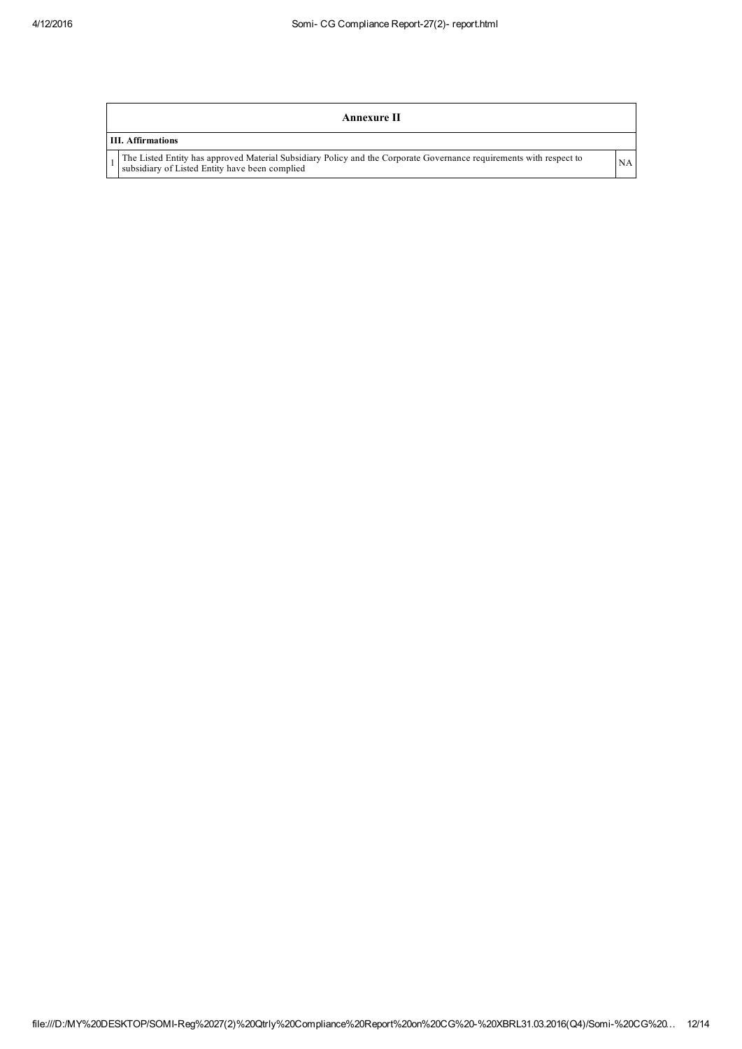| Annexure II                                                                                                                                                           |           |
|-----------------------------------------------------------------------------------------------------------------------------------------------------------------------|-----------|
| <b>III.</b> Affirmations                                                                                                                                              |           |
| The Listed Entity has approved Material Subsidiary Policy and the Corporate Governance requirements with respect to<br>subsidiary of Listed Entity have been complied | <b>NA</b> |
|                                                                                                                                                                       |           |